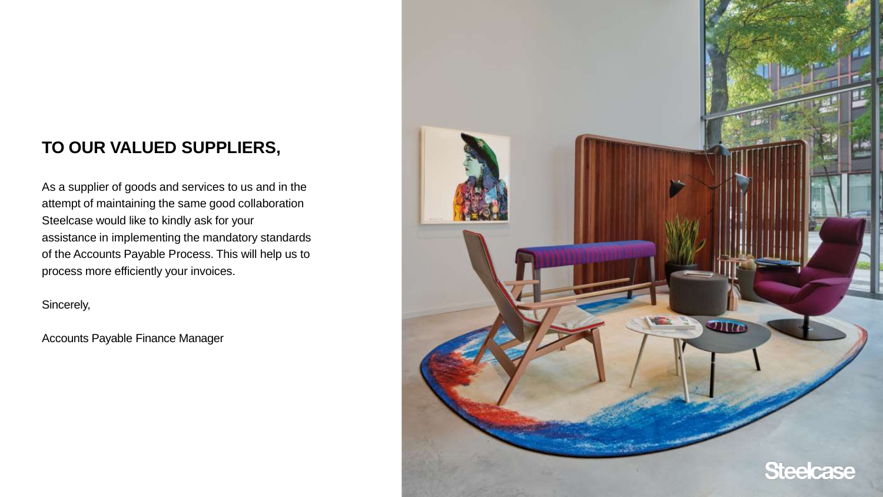#### **TO OUR VALUED SUPPLIERS,**

As a supplier of goods and services to us and in the attempt of maintaining the same good collaboration Steelcase would like to kindly ask for your assistance in implementing the mandatory standards of the Accounts Payable Process. This will help us to process more efficiently your invoices.

Sincerely,

Accounts Payable Finance Manager

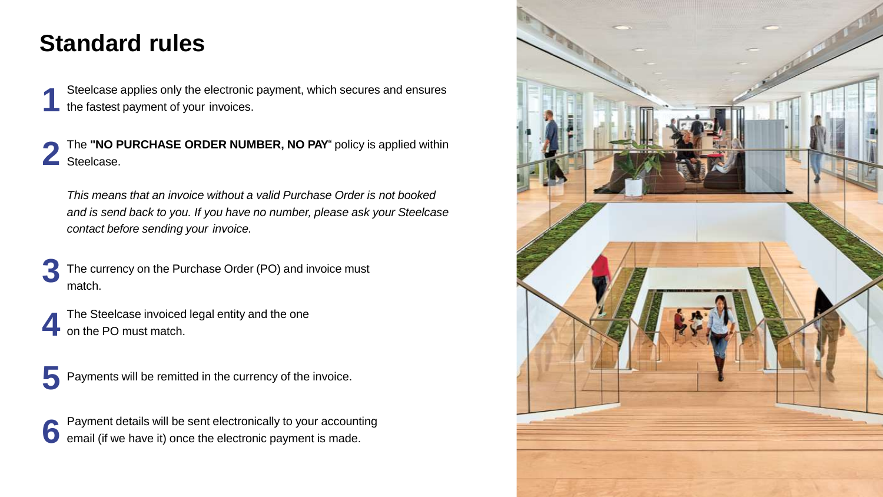### **Standard rules**

- Steelcase applies only the electronic payment, which secures and ensures the fastest payment of your invoices.
- **2** The **"NO PURCHASE ORDER NUMBER, NO PAY**" policy is applied within Steelcase.

*This means that an invoice without a valid Purchase Order is not booked and is send back to you. If you have no number, please ask your Steelcase contact before sending your invoice.*

The currency on the Purchase Order (PO) and invoice must **3** match.

The Steelcase invoiced legal entity and the one on the PO must match.

**5** Payments will be remitted in the currency of the invoice.

Payment details will be sent electronically to your accounting email (if we have it) once the electronic payment is made.

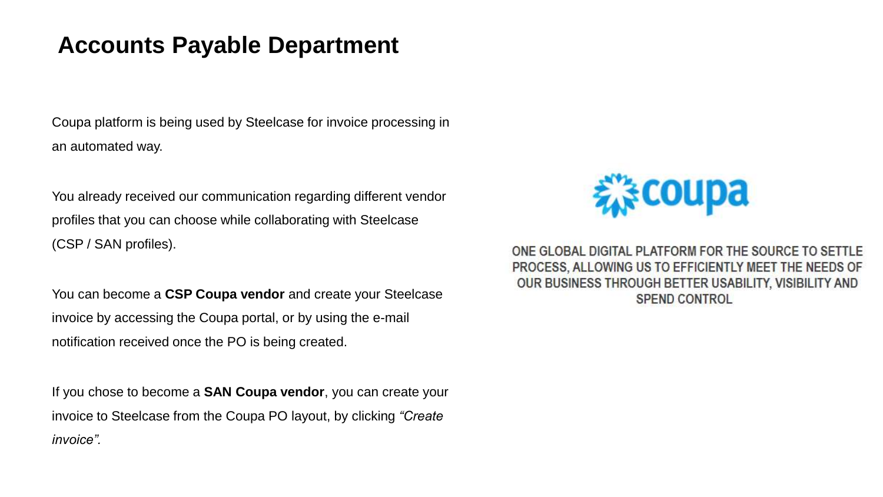#### **Accounts Payable Department**

Coupa platform is being used by Steelcase for invoice processing in an automated way.

You already received our communication regarding different vendor profiles that you can choose while collaborating with Steelcase (CSP / SAN profiles).

You can become a **CSP Coupa vendor** and create your Steelcase invoice by accessing the Coupa portal, or by using the e-mail notification received once the PO is being created.

If you chose to become a **SAN Coupa vendor**, you can create your invoice to Steelcase from the Coupa PO layout, by clicking *"Create invoice".* 



ONE GLOBAL DIGITAL PLATFORM FOR THE SOURCE TO SETTLE PROCESS, ALLOWING US TO EFFICIENTLY MEET THE NEEDS OF OUR BUSINESS THROUGH BETTER USABILITY, VISIBILITY AND **SPEND CONTROL**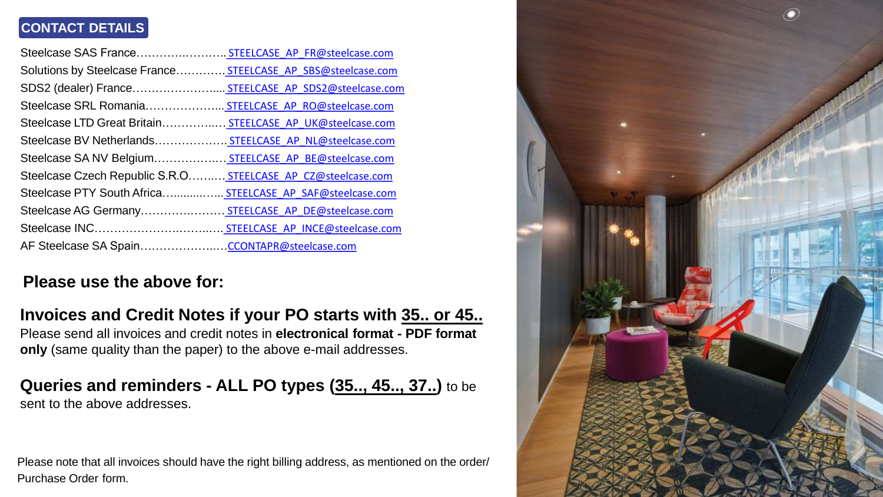#### **CONTACT DETAILS**

| Steelcase SAS France STEELCASE AP FR@steelcase.com           |  |
|--------------------------------------------------------------|--|
| Solutions by Steelcase France STEELCASE AP SBS@steelcase.com |  |
| SDS2 (dealer) France STEELCASE AP SDS2@steelcase.com         |  |
| Steelcase SRL Romania STEELCASE AP RO@steelcase.com          |  |
| Steelcase LTD Great Britain STEELCASE AP UK@steelcase.com    |  |
| Steelcase BV Netherlands STEELCASE AP NL@steelcase.com       |  |
| Steelcase SA NV Belgium STEELCASE AP BE@steelcase.com        |  |
| Steelcase Czech Republic S.R.O STEELCASE AP CZ@steelcase.com |  |
| Steelcase PTY South Africa STEELCASE AP SAF@steelcase.com    |  |
| Steelcase AG Germany STEELCASE AP DE@steelcase.com           |  |
|                                                              |  |
|                                                              |  |

#### **Please use the above for:**

#### **Invoices and Credit Notes if your PO starts with 35.. or 45..**

Please send all invoices and credit notes in **electronical format - PDF format only** (same quality than the paper) to the above e-mail addresses.

## **Queries and reminders - ALL PO types (35.., 45.., 37..)** to be

sent to the above addresses.

Please note that all invoices should have the right billing address, as mentioned on the order/ Purchase Order form.

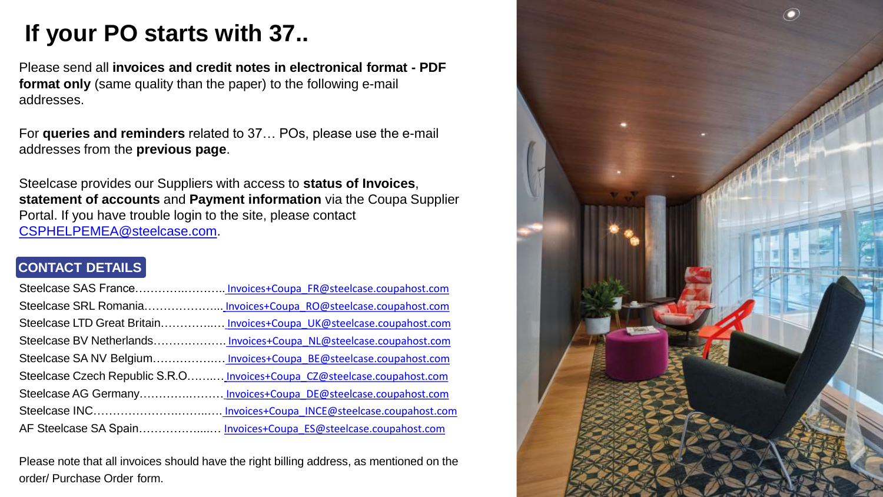## **If your PO starts with 37..**

Please send all **invoices and credit notes in electronical format - PDF format only** (same quality than the paper) to the following e-mail addresses.

For **queries and reminders** related to 37… POs, please use the e-mail addresses from the **previous page**.

Steelcase provides our Suppliers with access to **status of Invoices**, **statement of accounts** and **Payment information** via the Coupa Supplier Portal. If you have trouble login to the site, please contact [CSPHELPEMEA@steelcase.com](mailto:CSPHELP@steelcase.com).

#### **CONTACT DETAILS**

| Steelcase SAS FranceInvoices+Coupa FR@steelcase.coupahost.com            |
|--------------------------------------------------------------------------|
|                                                                          |
|                                                                          |
| Steelcase BV NetherlandsInvoices+Coupa NL@steelcase.coupahost.com        |
|                                                                          |
| Steelcase Czech Republic S.R.O Invoices+Coupa CZ@steelcase.coupahost.com |
|                                                                          |
|                                                                          |
|                                                                          |
|                                                                          |

Please note that all invoices should have the right billing address, as mentioned on the order/ Purchase Order form.

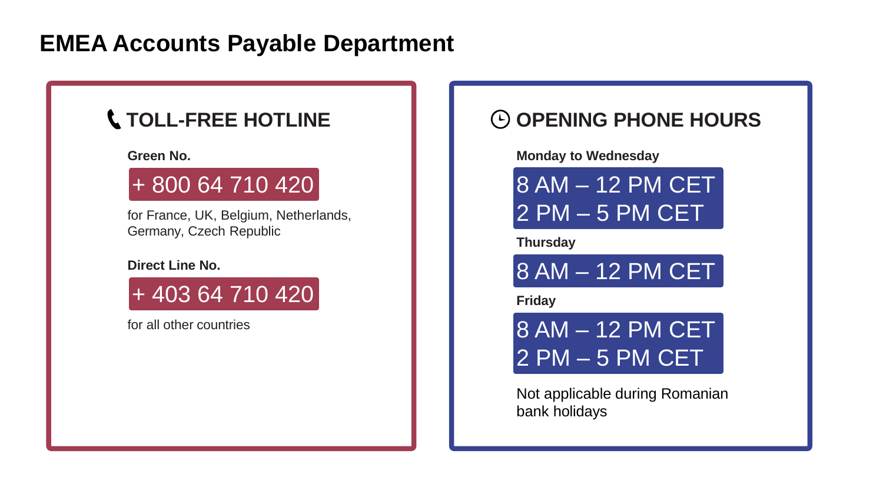### **EMEA Accounts Payable Department**

### **TOLL-FREE HOTLINE**

#### **Green No.**

## + 800 64 710 420

for France, UK, Belgium, Netherlands, Germany, Czech Republic

#### **Direct Line No.**

+ 403 64 710 420

for all other countries

#### $\Theta$  **OPENING PHONE HOURS**

#### **Monday to Wednesday**

8 AM – 12 PM CET 2 PM – 5 PM CET

**Thursday**

8 AM – 12 PM CET

**Friday**



Not applicable during Romanian bank holidays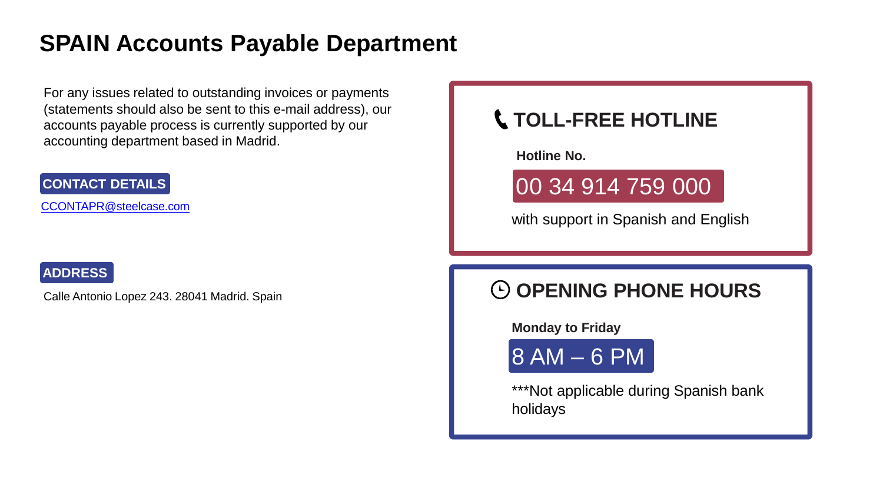### **SPAIN Accounts Payable Department**

For any issues related to outstanding invoices or payments (statements should also be sent to this e-mail address), our accounts payable process is currently supported by our accounting department based in Madrid.

#### **CONTACT DETAILS**

[CCONTAPR@steelcase.com](mailto:CCONTAPR@steelcase.com)

#### **ADDRESS**

Calle Antonio Lopez 243. 28041 Madrid. Spain

### **TOLL-FREE HOTLINE**

**Hotline No.**

## 00 34 914 759 000

with support in Spanish and English

### $\odot$  **OPENING PHONE HOURS**

**Monday to Friday**

8 AM – 6 PM

\*\*\*Not applicable during Spanish bank holidays